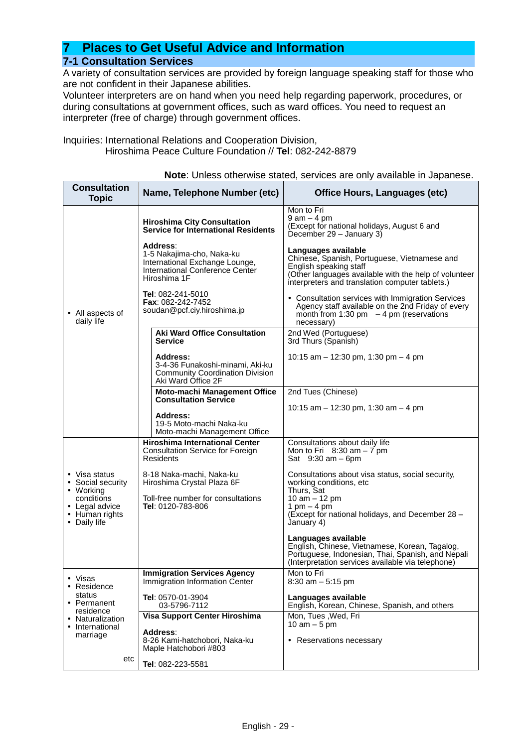## **7 Places to Get Useful Advice and Information 7-1 Consultation Services**

A variety of consultation services are provided by foreign language speaking staff for those who are not confident in their Japanese abilities.

Volunteer interpreters are on hand when you need help regarding paperwork, procedures, or during consultations at government offices, such as ward offices. You need to request an interpreter (free of charge) through government offices.

Inquiries: International Relations and Cooperation Division, Hiroshima Peace Culture Foundation // **Tel**: 082-242-8879

**Note**: Unless otherwise stated, services are only available in Japanese.

| <b>Consultation</b><br><b>Topic</b>              | Name, Telephone Number (etc)                                                                                               | <b>Office Hours, Languages (etc)</b>                                                                                                                                                                      |
|--------------------------------------------------|----------------------------------------------------------------------------------------------------------------------------|-----------------------------------------------------------------------------------------------------------------------------------------------------------------------------------------------------------|
|                                                  | <b>Hiroshima City Consultation</b><br><b>Service for International Residents</b>                                           | Mon to Fri<br>$9$ am $-$ 4 pm<br>(Except for national holidays, August 6 and<br>December 29 - January 3)                                                                                                  |
|                                                  | Address:<br>1-5 Nakajima-cho, Naka-ku<br>International Exchange Lounge,<br>International Conference Center<br>Hiroshima 1F | Languages available<br>Chinese, Spanish, Portuguese, Vietnamese and<br>English speaking staff<br>(Other languages available with the help of volunteer<br>interpreters and translation computer tablets.) |
| • All aspects of<br>daily life                   | <b>Tel</b> : 082-241-5010<br><b>Fax: 082-242-7452</b><br>soudan@pcf.ciy.hiroshima.jp                                       | • Consultation services with Immigration Services<br>Agency staff available on the 2nd Friday of every<br>month from 1:30 pm $-4$ pm (reservations<br>necessary)                                          |
|                                                  | <b>Aki Ward Office Consultation</b><br><b>Service</b>                                                                      | 2nd Wed (Portuguese)<br>3rd Thurs (Spanish)                                                                                                                                                               |
|                                                  | Address:<br>3-4-36 Funakoshi-minami, Aki-ku<br><b>Community Coordination Division</b><br>Aki Ward Office 2F                | 10:15 am $-$ 12:30 pm, 1:30 pm $-$ 4 pm                                                                                                                                                                   |
|                                                  | <b>Moto-machi Management Office</b><br><b>Consultation Service</b>                                                         | 2nd Tues (Chinese)                                                                                                                                                                                        |
|                                                  | Address:                                                                                                                   | 10:15 am $-$ 12:30 pm, 1:30 am $-$ 4 pm                                                                                                                                                                   |
|                                                  | 19-5 Moto-machi Naka-ku<br>Moto-machi Management Office                                                                    |                                                                                                                                                                                                           |
|                                                  | <b>Hiroshima International Center</b><br><b>Consultation Service for Foreign</b><br>Residents                              | Consultations about daily life<br>Mon to Fri $8:30$ am $-7$ pm<br>Sat $9:30$ am $-6$ pm                                                                                                                   |
| • Visa status<br>• Social security<br>• Working  | 8-18 Naka-machi, Naka-ku<br>Hiroshima Crystal Plaza 6F                                                                     | Consultations about visa status, social security,<br>working conditions, etc<br>Thurs, Sat                                                                                                                |
| conditions<br>• Legal advice                     | Toll-free number for consultations<br>Tel: 0120-783-806                                                                    | 10 $am - 12 pm$<br>1 pm $-$ 4 pm                                                                                                                                                                          |
| • Human rights<br>• Daily life                   |                                                                                                                            | (Except for national holidays, and December 28 -<br>January 4)                                                                                                                                            |
|                                                  |                                                                                                                            | Languages available<br>English, Chinese, Vietnamese, Korean, Tagalog,<br>Portuguese, Indonesian, Thai, Spanish, and Nepali<br>(Interpretation services available via telephone)                           |
| • Visas<br>• Residence                           | <b>Immigration Services Agency</b><br>Immigration Information Center                                                       | Mon to Fri<br>8:30 am - 5:15 pm                                                                                                                                                                           |
| status<br>• Permanent                            | Tel: 0570-01-3904<br>03-5796-7112                                                                                          | Languages available<br>English, Korean, Chinese, Spanish, and others                                                                                                                                      |
| residence<br>• Naturalization<br>• International | Visa Support Center Hiroshima                                                                                              | Mon, Tues, Wed, Fri<br>10 $am - 5$ pm                                                                                                                                                                     |
| marriage                                         | Address:<br>8-26 Kami-hatchobori, Naka-ku<br>Maple Hatchobori #803                                                         | • Reservations necessary                                                                                                                                                                                  |
| etc                                              | Tel: 082-223-5581                                                                                                          |                                                                                                                                                                                                           |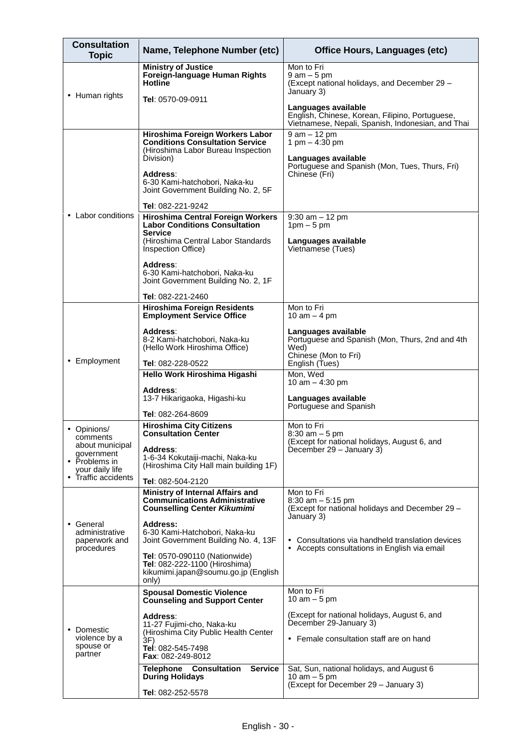| <b>Consultation</b><br><b>Topic</b>                                                                                 | Name, Telephone Number (etc)                                                                                                                                                                                     | <b>Office Hours, Languages (etc)</b>                                                                                           |  |
|---------------------------------------------------------------------------------------------------------------------|------------------------------------------------------------------------------------------------------------------------------------------------------------------------------------------------------------------|--------------------------------------------------------------------------------------------------------------------------------|--|
|                                                                                                                     | <b>Ministry of Justice</b><br>Foreign-language Human Rights<br><b>Hotline</b>                                                                                                                                    | Mon to Fri<br>$9$ am $-5$ pm<br>(Except national holidays, and December 29 -<br>January 3)                                     |  |
| • Human rights                                                                                                      | Tel: 0570-09-0911                                                                                                                                                                                                | Languages available<br>English, Chinese, Korean, Filipino, Portuguese,<br>Vietnamese, Nepali, Spanish, Indonesian, and Thai    |  |
|                                                                                                                     | Hiroshima Foreign Workers Labor<br><b>Conditions Consultation Service</b><br>(Hiroshima Labor Bureau Inspection<br>Division)<br>Address:<br>6-30 Kami-hatchobori, Naka-ku<br>Joint Government Building No. 2, 5F | $9$ am $-$ 12 pm<br>1 pm $-$ 4:30 pm<br>Languages available<br>Portuguese and Spanish (Mon, Tues, Thurs, Fri)<br>Chinese (Fri) |  |
| • Labor conditions                                                                                                  | <b>Tel: 082-221-9242</b><br><b>Hiroshima Central Foreign Workers</b><br><b>Labor Conditions Consultation</b><br><b>Service</b><br>(Hiroshima Central Labor Standards)<br>Inspection Office)                      | $9:30$ am $-12$ pm<br>$1pm - 5pm$<br>Languages available<br>Vietnamese (Tues)                                                  |  |
|                                                                                                                     | Address:<br>6-30 Kami-hatchobori, Naka-ku<br>Joint Government Building No. 2, 1F                                                                                                                                 |                                                                                                                                |  |
|                                                                                                                     | Tel: 082-221-2460<br><b>Hiroshima Foreign Residents</b><br><b>Employment Service Office</b>                                                                                                                      | Mon to Fri<br>10 am $-$ 4 pm                                                                                                   |  |
| • Employment                                                                                                        | Address:<br>8-2 Kami-hatchobori, Naka-ku<br>(Hello Work Hiroshima Office)<br>Tel: 082-228-0522                                                                                                                   | Languages available<br>Portuguese and Spanish (Mon, Thurs, 2nd and 4th<br>Wed)<br>Chinese (Mon to Fri)<br>English (Tues)       |  |
|                                                                                                                     | Hello Work Hiroshima Higashi                                                                                                                                                                                     | Mon, Wed<br>10 am $-$ 4:30 pm                                                                                                  |  |
|                                                                                                                     | Address:<br>13-7 Hikarigaoka, Higashi-ku<br>Tel: 082-264-8609                                                                                                                                                    | Languages available<br>Portuguese and Spanish                                                                                  |  |
| • Opinions/<br>comments<br>about municipal<br>government<br>• Problems in<br>your daily life<br>• Traffic accidents | <b>Hiroshima City Citizens</b><br><b>Consultation Center</b><br>Address:<br>1-6-34 Kokutaiji-machi, Naka-ku<br>(Hiroshima City Hall main building 1F)<br><b>Tel: 082-504-2120</b>                                | Mon to Fri<br>$8:30$ am $-5$ pm<br>(Except for national holidays, August 6, and<br>December 29 - January 3)                    |  |
|                                                                                                                     | Ministry of Internal Affairs and<br><b>Communications Administrative</b><br><b>Counselling Center Kikumimi</b>                                                                                                   | Mon to Fri<br>$8:30$ am $-5:15$ pm<br>(Except for national holidays and December 29 -<br>January 3)                            |  |
| • General<br>administrative<br>paperwork and                                                                        | <b>Address:</b><br>6-30 Kami-Hatchobori, Naka-ku<br>Joint Government Building No. 4, 13F                                                                                                                         | • Consultations via handheld translation devices                                                                               |  |
| procedures                                                                                                          | <b>Tel: 0570-090110 (Nationwide)</b><br>Tel: 082-222-1100 (Hiroshima)<br>kikumimi.japan@soumu.go.jp (English<br>only)                                                                                            | • Accepts consultations in English via email                                                                                   |  |
|                                                                                                                     | <b>Spousal Domestic Violence</b><br><b>Counseling and Support Center</b>                                                                                                                                         | Mon to Fri<br>10 am $-5$ pm                                                                                                    |  |
| • Domestic<br>violence by a<br>spouse or<br>partner                                                                 | Address:<br>11-27 Fujimi-cho, Naka-ku<br>(Hiroshima City Public Health Center<br>3F)<br>Tel: 082-545-7498<br>Fax: 082-249-8012                                                                                   | (Except for national holidays, August 6, and<br>December 29-January 3)<br>• Female consultation staff are on hand              |  |
|                                                                                                                     | <b>Telephone Consultation</b><br><b>Service</b><br><b>During Holidays</b>                                                                                                                                        | Sat, Sun, national holidays, and August 6<br>10 am $-5$ pm                                                                     |  |
|                                                                                                                     | Tel: 082-252-5578                                                                                                                                                                                                | (Except for December 29 - January 3)                                                                                           |  |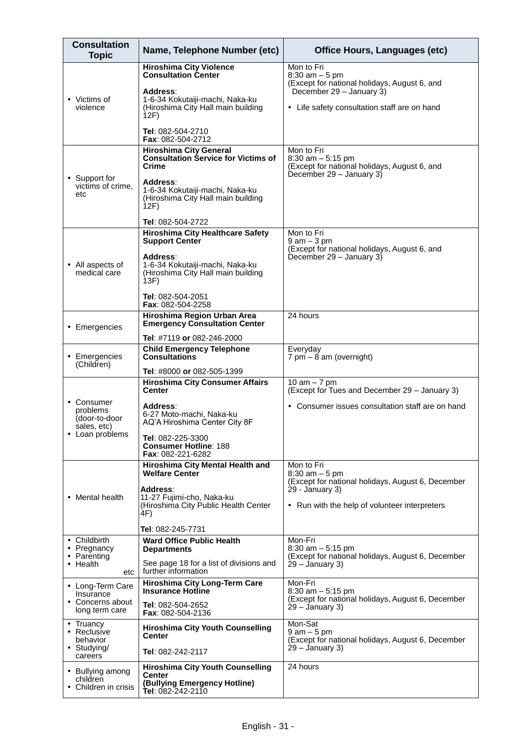| <b>Consultation</b><br><b>Topic</b>                                     | Name, Telephone Number (etc)                                                                                                                                                                                                | <b>Office Hours, Languages (etc)</b>                                                                                                                        |
|-------------------------------------------------------------------------|-----------------------------------------------------------------------------------------------------------------------------------------------------------------------------------------------------------------------------|-------------------------------------------------------------------------------------------------------------------------------------------------------------|
| • Victims of<br>violence                                                | <b>Hiroshima City Violence</b><br><b>Consultation Center</b><br>Address:<br>1-6-34 Kokutaiji-machi, Naka-ku<br>(Hiroshima City Hall main building<br>12F)<br><b>Tel</b> : 082-504-2710                                      | Mon to Fri<br>$8:30$ am $-5$ pm<br>(Except for national holidays, August 6, and<br>December 29 - January 3)<br>• Life safety consultation staff are on hand |
| • Support for<br>victims of crime,<br>etc                               | Fax: 082-504-2712<br><b>Hiroshima City General</b><br><b>Consultation Service for Victims of</b><br>Crime<br>Address:<br>1-6-34 Kokutaiji-machi, Naka-ku<br>(Hiroshima City Hall main building<br>12F)<br>Tel: 082-504-2722 | Mon to Fri<br>$8:30$ am $-5:15$ pm<br>(Except for national holidays, August 6, and<br>December $29 -$ January 3)                                            |
| • All aspects of<br>medical care                                        | <b>Hiroshima City Healthcare Safety</b><br><b>Support Center</b><br>Address:<br>1-6-34 Kokutaiji-machi, Naka-ku<br>(Hiroshima City Hall main building<br>13F)<br><b>Tel</b> : 082-504-2051<br><b>Fax: 082-504-2258</b>      | Mon to Fri<br>$9$ am $-3$ pm<br>(Except for national holidays, August 6, and<br>December 29 - January 3)                                                    |
| • Emergencies                                                           | Hiroshima Region Urban Area<br><b>Emergency Consultation Center</b><br>Tel: #7119 or 082-246-2000                                                                                                                           | 24 hours                                                                                                                                                    |
| • Emergencies<br>(Children)                                             | <b>Child Emergency Telephone</b><br><b>Consultations</b><br><b>Tel</b> : #8000 or 082-505-1399                                                                                                                              | Everyday<br>$7 \text{ pm} - 8 \text{ am}$ (overnight)                                                                                                       |
| • Consumer<br>problems<br>(door-to-door<br>sales, etc)<br>Loan problems | <b>Hiroshima City Consumer Affairs</b><br><b>Center</b><br>Address:<br>6-27 Moto-machi, Naka-ku<br>AQ'A Hiroshima Center City 8F<br>Tel: 082-225-3300<br><b>Consumer Hotline: 188</b><br>Fax: 082-221-6282                  | 10 am $-7$ pm<br>(Except for Tues and December 29 - January 3)<br>• Consumer issues consultation staff are on hand                                          |
| • Mental health                                                         | Hiroshima City Mental Health and<br><b>Welfare Center</b><br>Address∶<br>11-27 Fujimi-cho, Naka-ku<br>(Hiroshima City Public Health Center<br>4F)<br>Tel: 082-245-7731                                                      | Mon to Fri<br>$8:30$ am $-5$ pm<br>(Except for national holidays, August 6, December<br>$29 - January 3$ )<br>• Run with the help of volunteer interpreters |
| • Childbirth<br>• Pregnancy<br>• Parenting<br>$\cdot$ Health<br>etc     | <b>Ward Office Public Health</b><br><b>Departments</b><br>See page 18 for a list of divisions and<br>further information                                                                                                    | Mon-Fri<br>$8:30$ am $-5:15$ pm<br>(Except for national holidays, August 6, December<br>$29 - January 3$ )                                                  |
| • Long-Term Care<br>Insurance<br>• Concerns about<br>long term care     | <b>Hiroshima City Long-Term Care</b><br><b>Insurance Hotline</b><br><b>Tel</b> : 082-504-2652<br><b>Fax: 082-504-2136</b>                                                                                                   | Mon-Fri<br>$8:30$ am $-5:15$ pm<br>(Except for national holidays, August 6, December<br>$29 - January 3$ )                                                  |
| • Truancy<br>• Reclusive<br>behavior<br>• Studying/<br>careers          | <b>Hiroshima City Youth Counselling</b><br><b>Center</b><br><b>Tel</b> : 082-242-2117                                                                                                                                       | Mon-Sat<br>$9$ am $-5$ pm<br>(Except for national holidays, August 6, December<br>$29 - January 3$ )                                                        |
| • Bullying among<br>children<br>• Children in crisis                    | <b>Hiroshima City Youth Counselling</b><br>Center<br>(Bullying Emergency Hotline)<br>Tel: 082-242-2110                                                                                                                      | 24 hours                                                                                                                                                    |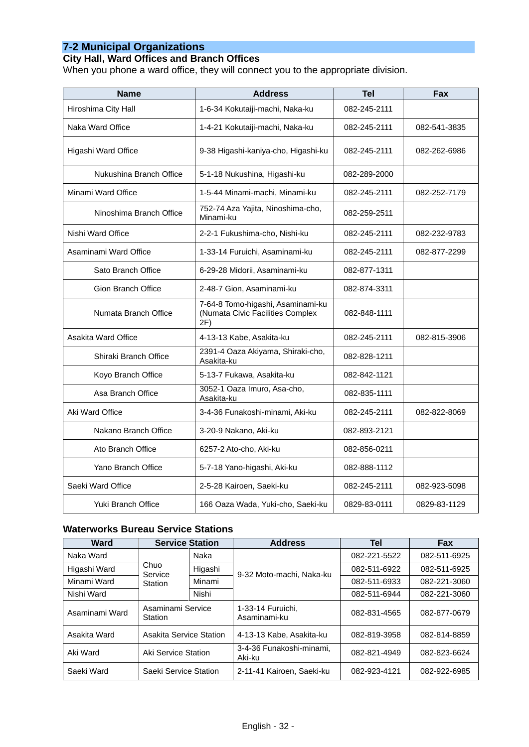### **7-2 Municipal Organizations**

### **City Hall, Ward Offices and Branch Offices**

When you phone a ward office, they will connect you to the appropriate division.

| <b>Name</b>               | <b>Address</b>                                                               | <b>Tel</b>   | <b>Fax</b>   |
|---------------------------|------------------------------------------------------------------------------|--------------|--------------|
| Hiroshima City Hall       | 1-6-34 Kokutaiji-machi, Naka-ku                                              | 082-245-2111 |              |
| Naka Ward Office          | 1-4-21 Kokutaiji-machi, Naka-ku                                              | 082-245-2111 | 082-541-3835 |
| Higashi Ward Office       | 9-38 Higashi-kaniya-cho, Higashi-ku                                          | 082-245-2111 | 082-262-6986 |
| Nukushina Branch Office   | 5-1-18 Nukushina, Higashi-ku                                                 | 082-289-2000 |              |
| Minami Ward Office        | 1-5-44 Minami-machi, Minami-ku                                               | 082-245-2111 | 082-252-7179 |
| Ninoshima Branch Office   | 752-74 Aza Yajita, Ninoshima-cho,<br>Minami-ku                               | 082-259-2511 |              |
| Nishi Ward Office         | 2-2-1 Fukushima-cho, Nishi-ku                                                | 082-245-2111 | 082-232-9783 |
| Asaminami Ward Office     | 1-33-14 Furuichi, Asaminami-ku                                               | 082-245-2111 | 082-877-2299 |
| Sato Branch Office        | 6-29-28 Midorii, Asaminami-ku                                                | 082-877-1311 |              |
| <b>Gion Branch Office</b> | 2-48-7 Gion, Asaminami-ku                                                    | 082-874-3311 |              |
| Numata Branch Office      | 7-64-8 Tomo-higashi, Asaminami-ku<br>(Numata Civic Facilities Complex<br>2F) | 082-848-1111 |              |
| Asakita Ward Office       | 4-13-13 Kabe, Asakita-ku                                                     | 082-245-2111 | 082-815-3906 |
| Shiraki Branch Office     | 2391-4 Oaza Akiyama, Shiraki-cho,<br>Asakita-ku                              | 082-828-1211 |              |
| Koyo Branch Office        | 5-13-7 Fukawa, Asakita-ku                                                    | 082-842-1121 |              |
| Asa Branch Office         | 3052-1 Oaza Imuro, Asa-cho,<br>Asakita-ku                                    | 082-835-1111 |              |
| Aki Ward Office           | 3-4-36 Funakoshi-minami, Aki-ku                                              | 082-245-2111 | 082-822-8069 |
| Nakano Branch Office      | 3-20-9 Nakano, Aki-ku                                                        | 082-893-2121 |              |
| Ato Branch Office         | 6257-2 Ato-cho, Aki-ku                                                       | 082-856-0211 |              |
| Yano Branch Office        | 5-7-18 Yano-higashi, Aki-ku                                                  | 082-888-1112 |              |
| Saeki Ward Office         | 2-5-28 Kairoen, Saeki-ku                                                     | 082-245-2111 | 082-923-5098 |
| Yuki Branch Office        | 166 Oaza Wada, Yuki-cho, Saeki-ku                                            | 0829-83-0111 | 0829-83-1129 |

### **Waterworks Bureau Service Stations**

| <b>Ward</b>    | <b>Service Station</b>       |         | <b>Address</b>                     | Tel          | <b>Fax</b>   |
|----------------|------------------------------|---------|------------------------------------|--------------|--------------|
| Naka Ward      |                              | Naka    |                                    | 082-221-5522 | 082-511-6925 |
| Higashi Ward   | Chuo<br>Service              | Higashi | 9-32 Moto-machi, Naka-ku           | 082-511-6922 | 082-511-6925 |
| Minami Ward    | Station                      | Minami  |                                    | 082-511-6933 | 082-221-3060 |
| Nishi Ward     |                              | Nishi   |                                    | 082-511-6944 | 082-221-3060 |
| Asaminami Ward | Asaminami Service<br>Station |         | 1-33-14 Furuichi,<br>Asaminami-ku  | 082-831-4565 | 082-877-0679 |
| Asakita Ward   | Asakita Service Station      |         | 4-13-13 Kabe, Asakita-ku           | 082-819-3958 | 082-814-8859 |
| Aki Ward       | Aki Service Station          |         | 3-4-36 Funakoshi-minami.<br>Aki-ku | 082-821-4949 | 082-823-6624 |
| Saeki Ward     | Saeki Service Station        |         | 2-11-41 Kairoen, Saeki-ku          | 082-923-4121 | 082-922-6985 |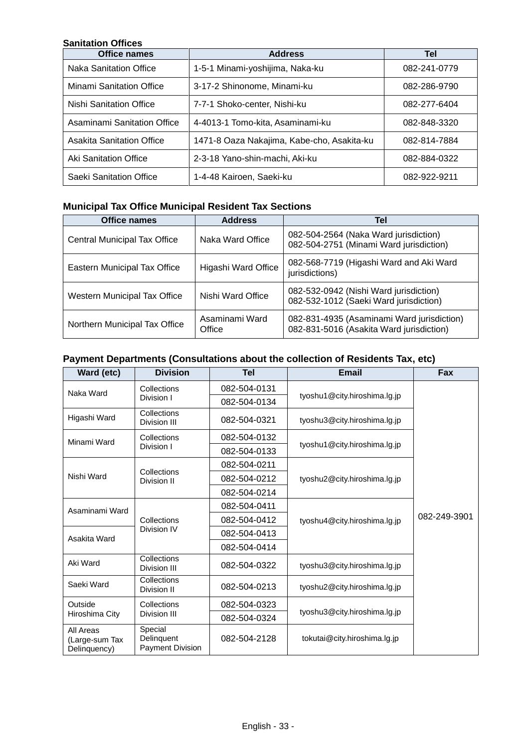### **Sanitation Offices**

| <b>Office names</b>              | <b>Address</b>                             | Tel          |
|----------------------------------|--------------------------------------------|--------------|
| Naka Sanitation Office           | 1-5-1 Minami-yoshijima, Naka-ku            | 082-241-0779 |
| <b>Minami Sanitation Office</b>  | 3-17-2 Shinonome, Minami-ku                | 082-286-9790 |
| Nishi Sanitation Office          | 7-7-1 Shoko-center, Nishi-ku               | 082-277-6404 |
| Asaminami Sanitation Office      | 4-4013-1 Tomo-kita, Asaminami-ku           | 082-848-3320 |
| <b>Asakita Sanitation Office</b> | 1471-8 Oaza Nakajima, Kabe-cho, Asakita-ku | 082-814-7884 |
| Aki Sanitation Office            | 2-3-18 Yano-shin-machi, Aki-ku             | 082-884-0322 |
| Saeki Sanitation Office          | 1-4-48 Kairoen, Saeki-ku                   | 082-922-9211 |

# **Municipal Tax Office Municipal Resident Tax Sections**

| <b>Office names</b>           | <b>Address</b>           | Tel                                                                                    |
|-------------------------------|--------------------------|----------------------------------------------------------------------------------------|
| Central Municipal Tax Office  | Naka Ward Office         | 082-504-2564 (Naka Ward jurisdiction)<br>082-504-2751 (Minami Ward jurisdiction)       |
| Eastern Municipal Tax Office  | Higashi Ward Office      | 082-568-7719 (Higashi Ward and Aki Ward<br>jurisdictions)                              |
| Western Municipal Tax Office  | Nishi Ward Office        | 082-532-0942 (Nishi Ward jurisdiction)<br>082-532-1012 (Saeki Ward jurisdiction)       |
| Northern Municipal Tax Office | Asaminami Ward<br>Office | 082-831-4935 (Asaminami Ward jurisdiction)<br>082-831-5016 (Asakita Ward jurisdiction) |

# **Payment Departments (Consultations about the collection of Residents Tax, etc)**

| Ward (etc)                                  | <b>Division</b>                           | Tel          | <b>Email</b>                 | Fax          |
|---------------------------------------------|-------------------------------------------|--------------|------------------------------|--------------|
| Naka Ward                                   | Collections                               | 082-504-0131 |                              |              |
|                                             | Division I                                | 082-504-0134 | tyoshu1@city.hiroshima.lg.jp |              |
| Higashi Ward                                | Collections<br>Division III               | 082-504-0321 | tyoshu3@city.hiroshima.lg.jp |              |
| Minami Ward                                 | Collections                               | 082-504-0132 |                              |              |
|                                             | Division I                                | 082-504-0133 | tyoshu1@city.hiroshima.lg.jp |              |
|                                             |                                           | 082-504-0211 |                              |              |
| Nishi Ward                                  | Collections<br>Division II                | 082-504-0212 | tyoshu2@city.hiroshima.lg.jp | 082-249-3901 |
|                                             |                                           | 082-504-0214 |                              |              |
| Asaminami Ward                              |                                           | 082-504-0411 |                              |              |
|                                             | Collections<br>Division IV                | 082-504-0412 | tyoshu4@city.hiroshima.lg.jp |              |
| Asakita Ward                                |                                           | 082-504-0413 |                              |              |
|                                             |                                           | 082-504-0414 |                              |              |
| Aki Ward                                    | Collections<br>Division III               | 082-504-0322 | tyoshu3@city.hiroshima.lg.jp |              |
| Saeki Ward                                  | Collections<br>Division II                | 082-504-0213 | tyoshu2@city.hiroshima.lg.jp |              |
| Outside                                     | Collections<br>Division III               | 082-504-0323 |                              |              |
| Hiroshima City                              |                                           | 082-504-0324 | tyoshu3@city.hiroshima.lg.jp |              |
| All Areas<br>(Large-sum Tax<br>Delinguency) | Special<br>Delinguent<br>Payment Division | 082-504-2128 | tokutai@city.hiroshima.lg.jp |              |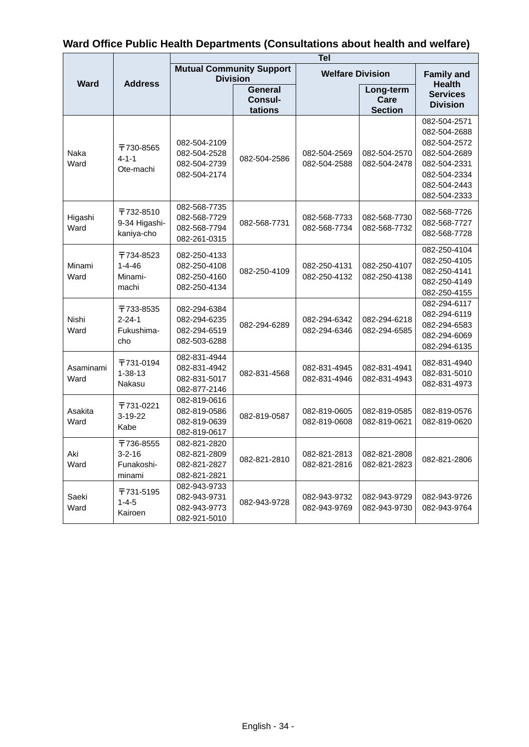|  | Ward Office Public Health Departments (Consultations about health and welfare) |
|--|--------------------------------------------------------------------------------|
|--|--------------------------------------------------------------------------------|

|                               |                                                | <b>Tel</b>                                                   |                                             |                              |                                     |                                                                                                                              |
|-------------------------------|------------------------------------------------|--------------------------------------------------------------|---------------------------------------------|------------------------------|-------------------------------------|------------------------------------------------------------------------------------------------------------------------------|
| <b>Ward</b><br><b>Address</b> |                                                | <b>Mutual Community Support</b><br><b>Division</b>           |                                             | <b>Welfare Division</b>      |                                     | <b>Family and</b>                                                                                                            |
|                               |                                                |                                                              | <b>General</b><br><b>Consul-</b><br>tations |                              | Long-term<br>Care<br><b>Section</b> | <b>Health</b><br><b>Services</b><br><b>Division</b>                                                                          |
| Naka<br>Ward                  | 〒730-8565<br>$4 - 1 - 1$<br>Ote-machi          | 082-504-2109<br>082-504-2528<br>082-504-2739<br>082-504-2174 | 082-504-2586                                | 082-504-2569<br>082-504-2588 | 082-504-2570<br>082-504-2478        | 082-504-2571<br>082-504-2688<br>082-504-2572<br>082-504-2689<br>082-504-2331<br>082-504-2334<br>082-504-2443<br>082-504-2333 |
| Higashi<br>Ward               | 〒732-8510<br>9-34 Higashi-<br>kaniya-cho       | 082-568-7735<br>082-568-7729<br>082-568-7794<br>082-261-0315 | 082-568-7731                                | 082-568-7733<br>082-568-7734 | 082-568-7730<br>082-568-7732        | 082-568-7726<br>082-568-7727<br>082-568-7728                                                                                 |
| Minami<br>Ward                | 〒734-8523<br>$1 - 4 - 46$<br>Minami-<br>machi  | 082-250-4133<br>082-250-4108<br>082-250-4160<br>082-250-4134 | 082-250-4109                                | 082-250-4131<br>082-250-4132 | 082-250-4107<br>082-250-4138        | 082-250-4104<br>082-250-4105<br>082-250-4141<br>082-250-4149<br>082-250-4155                                                 |
| Nishi<br>Ward                 | 〒733-8535<br>$2 - 24 - 1$<br>Fukushima-<br>cho | 082-294-6384<br>082-294-6235<br>082-294-6519<br>082-503-6288 | 082-294-6289                                | 082-294-6342<br>082-294-6346 | 082-294-6218<br>082-294-6585        | 082-294-6117<br>082-294-6119<br>082-294-6583<br>082-294-6069<br>082-294-6135                                                 |
| Asaminami<br>Ward             | 〒731-0194<br>$1 - 38 - 13$<br>Nakasu           | 082-831-4944<br>082-831-4942<br>082-831-5017<br>082-877-2146 | 082-831-4568                                | 082-831-4945<br>082-831-4946 | 082-831-4941<br>082-831-4943        | 082-831-4940<br>082-831-5010<br>082-831-4973                                                                                 |
| Asakita<br>Ward               | 〒731-0221<br>$3-19-22$<br>Kabe                 | 082-819-0616<br>082-819-0586<br>082-819-0639<br>082-819-0617 | 082-819-0587                                | 082-819-0605<br>082-819-0608 | 082-819-0585<br>082-819-0621        | 082-819-0576<br>082-819-0620                                                                                                 |
| Akı<br>Ward                   | 〒736-8555<br>3-2-16<br>Funakoshi-<br>minami    | 082-821-2820<br>082-821-2809<br>082-821-2827<br>082-821-2821 | 082-821-2810                                | 082-821-2813<br>082-821-2816 | 082-821-2808<br>082-821-2823        | 082-821-2806                                                                                                                 |
| Saeki<br>Ward                 | 〒731-5195<br>$1 - 4 - 5$<br>Kairoen            | 082-943-9733<br>082-943-9731<br>082-943-9773<br>082-921-5010 | 082-943-9728                                | 082-943-9732<br>082-943-9769 | 082-943-9729<br>082-943-9730        | 082-943-9726<br>082-943-9764                                                                                                 |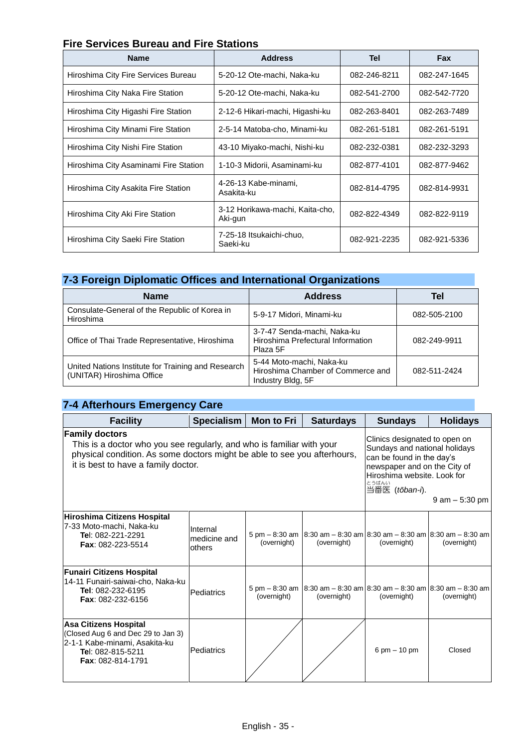## **Fire Services Bureau and Fire Stations**

| <b>Name</b>                           | <b>Address</b>                             | Tel          | <b>Fax</b>   |
|---------------------------------------|--------------------------------------------|--------------|--------------|
| Hiroshima City Fire Services Bureau   | 5-20-12 Ote-machi, Naka-ku                 | 082-246-8211 | 082-247-1645 |
| Hiroshima City Naka Fire Station      | 5-20-12 Ote-machi, Naka-ku                 | 082-541-2700 | 082-542-7720 |
| Hiroshima City Higashi Fire Station   | 2-12-6 Hikari-machi, Higashi-ku            | 082-263-8401 | 082-263-7489 |
| Hiroshima City Minami Fire Station    | 2-5-14 Matoba-cho, Minami-ku               | 082-261-5181 | 082-261-5191 |
| Hiroshima City Nishi Fire Station     | 43-10 Miyako-machi, Nishi-ku               | 082-232-0381 | 082-232-3293 |
| Hiroshima City Asaminami Fire Station | 1-10-3 Midorii, Asaminami-ku               | 082-877-4101 | 082-877-9462 |
| Hiroshima City Asakita Fire Station   | 4-26-13 Kabe-minami,<br>Asakita-ku         | 082-814-4795 | 082-814-9931 |
| Hiroshima City Aki Fire Station       | 3-12 Horikawa-machi, Kaita-cho,<br>Aki-gun | 082-822-4349 | 082-822-9119 |
| Hiroshima City Saeki Fire Station     | 7-25-18 Itsukaichi-chuo,<br>Saeki-ku       | 082-921-2235 | 082-921-5336 |

### **7-3 Foreign Diplomatic Offices and International Organizations**

| <b>Name</b>                                                                     | <b>Address</b>                                                                     | Tel          |
|---------------------------------------------------------------------------------|------------------------------------------------------------------------------------|--------------|
| Consulate-General of the Republic of Korea in<br>Hiroshima                      | 5-9-17 Midori, Minami-ku                                                           | 082-505-2100 |
| Office of Thai Trade Representative, Hiroshima                                  | 3-7-47 Senda-machi, Naka-ku<br>Hiroshima Prefectural Information<br>Plaza 5F       | 082-249-9911 |
| United Nations Institute for Training and Research<br>(UNITAR) Hiroshima Office | 5-44 Moto-machi, Naka-ku<br>Hiroshima Chamber of Commerce and<br>Industry Bldg, 5F | 082-511-2424 |

#### **7-4 Afterhours Emergency Care Facility Specialism Mon to Fri Saturdays Sundays Holidays Family doctors** This is a doctor who you see regularly, and who is familiar with your physical condition. As some doctors might be able to see you afterhours, it is best to have a family doctor. Clinics designated to open on Sundays and national holidays can be found in the day's newspaper and on the City of Hiroshima website. Look for 当番医 とうばんい (*tōban-i*). 9 am – 5:30 pm **Hiroshima Citizens Hospital** 7-33 Moto-machi, Naka-ku **Te**l: 082-221-2291 **Fax**: 082-223-5514 Internal medicine and others 5 pm – 8:30 am (overnight) 8:30 am – 8:30 am (overnight) 8:30 am – 8:30 am (overnight) 8:30 am – 8:30 am (overnight) **Funairi Citizens Hospital** 14-11 Funairi-saiwai-cho, Naka-ku **Tel**: 082-232-6195 **Fax**: 082-232-6156 Pediatrics  $\begin{bmatrix} 5 \text{ pm} - 8:30 \text{ am} \\ \text{6} \text{ cm} \text{ m} \end{bmatrix}$ (overnight) 8:30 am – 8:30 am (overnight) 8:30 am – 8:30 am (overnight) 8:30 am – 8:30 am (overnight) **Asa Citizens Hospital** (Closed Aug 6 and Dec 29 to Jan 3) 2-1-1 Kabe-minami, Asakita-ku **Te**l: 082-815-5211 **Fax**: 082-814-1791 Pediatrics  $\vert$  /  $\vert$  /  $\vert$  6 pm – 10 pm  $\vert$  Closed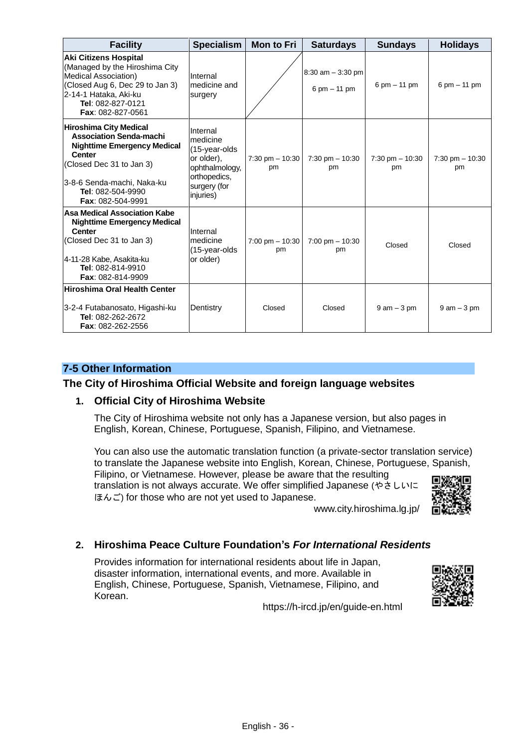| <b>Facility</b>                                                                                                                                                                                                            | <b>Specialism</b>                                                                                                  | <b>Mon to Fri</b>               | <b>Saturdays</b>                       | <b>Sundays</b>            | <b>Holidays</b>          |
|----------------------------------------------------------------------------------------------------------------------------------------------------------------------------------------------------------------------------|--------------------------------------------------------------------------------------------------------------------|---------------------------------|----------------------------------------|---------------------------|--------------------------|
| <b>Aki Citizens Hospital</b><br>(Managed by the Hiroshima City<br>Medical Association)<br>(Closed Aug 6, Dec 29 to Jan 3)<br>2-14-1 Hataka, Aki-ku<br>Tel: 082-827-0121<br><b>Fax: 082-827-0561</b>                        | Internal<br>medicine and<br>surgery                                                                                |                                 | $8:30$ am $-3:30$ pm<br>6 pm $-$ 11 pm | 6 pm $-$ 11 pm            | 6 pm $-$ 11 pm           |
| <b>Hiroshima City Medical</b><br><b>Association Senda-machi</b><br><b>Nighttime Emergency Medical</b><br><b>Center</b><br>(Closed Dec 31 to Jan 3)<br>3-8-6 Senda-machi, Naka-ku<br>Tel: 082-504-9990<br>Fax: 082-504-9991 | Internal<br>medicine<br>(15-year-olds<br>or older),<br>ophthalmology,<br>orthopedics,<br>surgery (for<br>injuries) | $7:30$ pm $-10:30$<br>pm        | $7:30$ pm $-10:30$<br>pm               | $7:30$ pm $- 10:30$<br>pm | $7:30$ pm $-10:30$<br>pm |
| <b>Asa Medical Association Kabe</b><br><b>Nighttime Emergency Medical</b><br>Center<br>(Closed Dec 31 to Jan 3)<br>4-11-28 Kabe, Asakita-ku<br>Tel: 082-814-9910<br>Fax: 082-814-9909                                      | Internal<br>medicine<br>(15-year-olds<br>or older)                                                                 | $7:00 \text{ pm} - 10:30$<br>pm | $7:00 \text{ pm} - 10:30$<br>pm        | Closed                    | Closed                   |
| <b>Hiroshima Oral Health Center</b><br>3-2-4 Futabanosato, Higashi-ku<br>Tel: 082-262-2672<br>Fax: 082-262-2556                                                                                                            | Dentistry                                                                                                          | Closed                          | Closed                                 | $9$ am $-3$ pm            | $9$ am $-3$ pm           |

# **7-5 Other Information**

## **The City of Hiroshima Official Website and foreign language websites**

### **1. Official City of Hiroshima Website**

The City of Hiroshima website not only has a Japanese version, but also pages in English, Korean, Chinese, Portuguese, Spanish, Filipino, and Vietnamese.

You can also use the automatic translation function (a private-sector translation service) to translate the Japanese website into English, Korean, Chinese, Portuguese, Spanish, Filipino, or Vietnamese. However, please be aware that the resulting translation is not always accurate. We offer simplified Japanese (やさしいに ほんご) for those who are not yet used to Japanese.

www.city.hiroshima.lg.jp/

## **2. Hiroshima Peace Culture Foundation's** *For International Residents*

Provides information for international residents about life in Japan, disaster information, international events, and more. Available in English, Chinese, Portuguese, Spanish, Vietnamese, Filipino, and Korean.



https://h-ircd.jp/en/guide-en.html